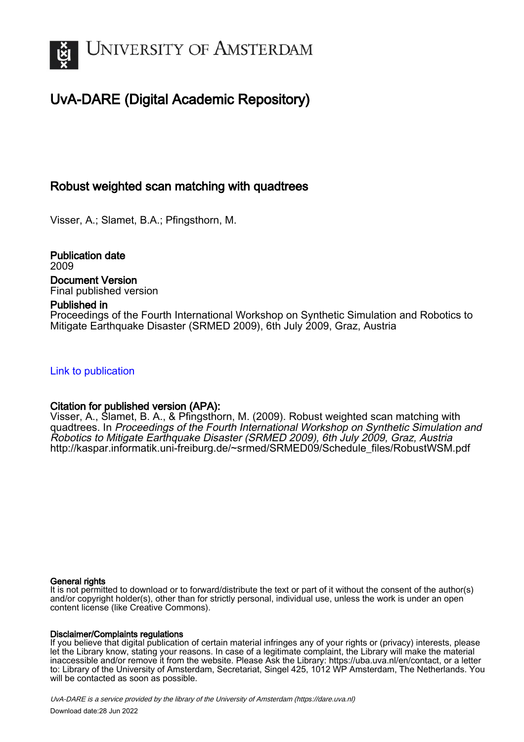

# UvA-DARE (Digital Academic Repository)

# Robust weighted scan matching with quadtrees

Visser, A.; Slamet, B.A.; Pfingsthorn, M.

Publication date 2009 Document Version Final published version

### Published in

Proceedings of the Fourth International Workshop on Synthetic Simulation and Robotics to Mitigate Earthquake Disaster (SRMED 2009), 6th July 2009, Graz, Austria

[Link to publication](https://dare.uva.nl/personal/pure/en/publications/robust-weighted-scan-matching-with-quadtrees(b9471f68-4883-45a1-b6ee-e019649265b7).html)

## Citation for published version (APA):

Visser, A., Slamet, B. A., & Pfingsthorn, M. (2009). Robust weighted scan matching with quadtrees. In Proceedings of the Fourth International Workshop on Synthetic Simulation and Robotics to Mitigate Earthquake Disaster (SRMED 2009), 6th July 2009, Graz, Austria [http://kaspar.informatik.uni-freiburg.de/~srmed/SRMED09/Schedule\\_files/RobustWSM.pdf](http://kaspar.informatik.uni-freiburg.de/~srmed/SRMED09/Schedule_files/RobustWSM.pdf)

#### General rights

It is not permitted to download or to forward/distribute the text or part of it without the consent of the author(s) and/or copyright holder(s), other than for strictly personal, individual use, unless the work is under an open content license (like Creative Commons).

#### Disclaimer/Complaints regulations

If you believe that digital publication of certain material infringes any of your rights or (privacy) interests, please let the Library know, stating your reasons. In case of a legitimate complaint, the Library will make the material inaccessible and/or remove it from the website. Please Ask the Library: https://uba.uva.nl/en/contact, or a letter to: Library of the University of Amsterdam, Secretariat, Singel 425, 1012 WP Amsterdam, The Netherlands. You will be contacted as soon as possible.

UvA-DARE is a service provided by the library of the University of Amsterdam (http*s*://dare.uva.nl) Download date:28 Jun 2022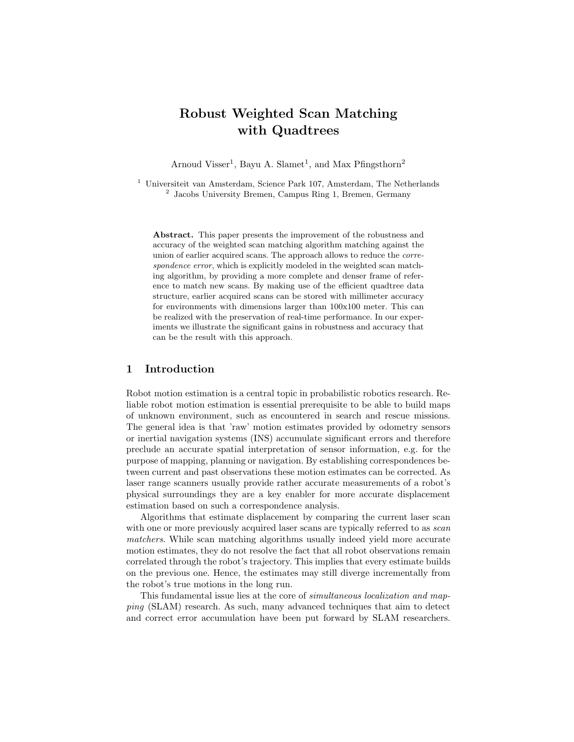# Robust Weighted Scan Matching with Quadtrees

Arnoud Visser<sup>1</sup>, Bayu A. Slamet<sup>1</sup>, and Max Pfingsthorn<sup>2</sup>

<sup>1</sup> Universiteit van Amsterdam, Science Park 107, Amsterdam, The Netherlands 2 Jacobs University Bremen, Campus Ring 1, Bremen, Germany

Abstract. This paper presents the improvement of the robustness and accuracy of the weighted scan matching algorithm matching against the union of earlier acquired scans. The approach allows to reduce the correspondence error, which is explicitly modeled in the weighted scan matching algorithm, by providing a more complete and denser frame of reference to match new scans. By making use of the efficient quadtree data structure, earlier acquired scans can be stored with millimeter accuracy for environments with dimensions larger than 100x100 meter. This can be realized with the preservation of real-time performance. In our experiments we illustrate the significant gains in robustness and accuracy that can be the result with this approach.

#### 1 Introduction

Robot motion estimation is a central topic in probabilistic robotics research. Reliable robot motion estimation is essential prerequisite to be able to build maps of unknown environment, such as encountered in search and rescue missions. The general idea is that 'raw' motion estimates provided by odometry sensors or inertial navigation systems (INS) accumulate significant errors and therefore preclude an accurate spatial interpretation of sensor information, e.g. for the purpose of mapping, planning or navigation. By establishing correspondences between current and past observations these motion estimates can be corrected. As laser range scanners usually provide rather accurate measurements of a robot's physical surroundings they are a key enabler for more accurate displacement estimation based on such a correspondence analysis.

Algorithms that estimate displacement by comparing the current laser scan with one or more previously acquired laser scans are typically referred to as *scan* matchers. While scan matching algorithms usually indeed yield more accurate motion estimates, they do not resolve the fact that all robot observations remain correlated through the robot's trajectory. This implies that every estimate builds on the previous one. Hence, the estimates may still diverge incrementally from the robot's true motions in the long run.

This fundamental issue lies at the core of simultaneous localization and mapping (SLAM) research. As such, many advanced techniques that aim to detect and correct error accumulation have been put forward by SLAM researchers.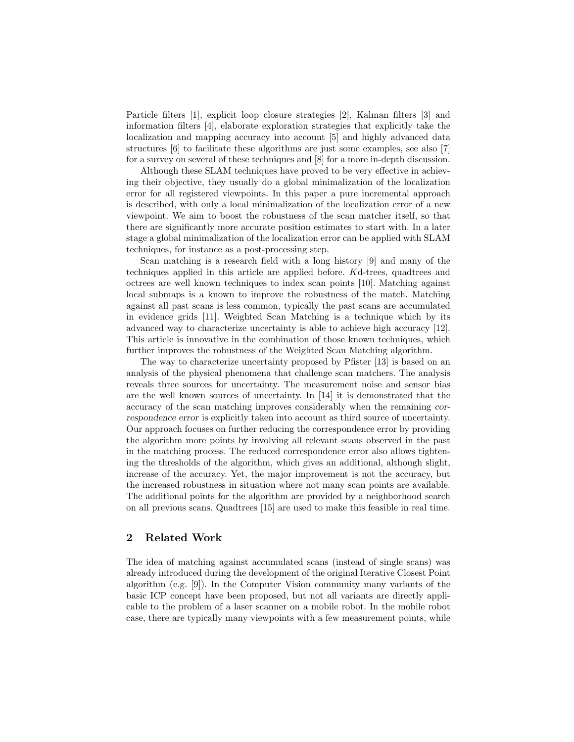Particle filters [1], explicit loop closure strategies [2], Kalman filters [3] and information filters [4], elaborate exploration strategies that explicitly take the localization and mapping accuracy into account [5] and highly advanced data structures [6] to facilitate these algorithms are just some examples, see also [7] for a survey on several of these techniques and [8] for a more in-depth discussion.

Although these SLAM techniques have proved to be very effective in achieving their objective, they usually do a global minimalization of the localization error for all registered viewpoints. In this paper a pure incremental approach is described, with only a local minimalization of the localization error of a new viewpoint. We aim to boost the robustness of the scan matcher itself, so that there are significantly more accurate position estimates to start with. In a later stage a global minimalization of the localization error can be applied with SLAM techniques, for instance as a post-processing step.

Scan matching is a research field with a long history [9] and many of the techniques applied in this article are applied before. Kd-trees, quadtrees and octrees are well known techniques to index scan points [10]. Matching against local submaps is a known to improve the robustness of the match. Matching against all past scans is less common, typically the past scans are accumulated in evidence grids [11]. Weighted Scan Matching is a technique which by its advanced way to characterize uncertainty is able to achieve high accuracy [12]. This article is innovative in the combination of those known techniques, which further improves the robustness of the Weighted Scan Matching algorithm.

The way to characterize uncertainty proposed by Pfister [13] is based on an analysis of the physical phenomena that challenge scan matchers. The analysis reveals three sources for uncertainty. The measurement noise and sensor bias are the well known sources of uncertainty. In [14] it is demonstrated that the accuracy of the scan matching improves considerably when the remaining correspondence error is explicitly taken into account as third source of uncertainty. Our approach focuses on further reducing the correspondence error by providing the algorithm more points by involving all relevant scans observed in the past in the matching process. The reduced correspondence error also allows tightening the thresholds of the algorithm, which gives an additional, although slight, increase of the accuracy. Yet, the major improvement is not the accuracy, but the increased robustness in situation where not many scan points are available. The additional points for the algorithm are provided by a neighborhood search on all previous scans. Quadtrees [15] are used to make this feasible in real time.

#### 2 Related Work

The idea of matching against accumulated scans (instead of single scans) was already introduced during the development of the original Iterative Closest Point algorithm (e.g. [9]). In the Computer Vision community many variants of the basic ICP concept have been proposed, but not all variants are directly applicable to the problem of a laser scanner on a mobile robot. In the mobile robot case, there are typically many viewpoints with a few measurement points, while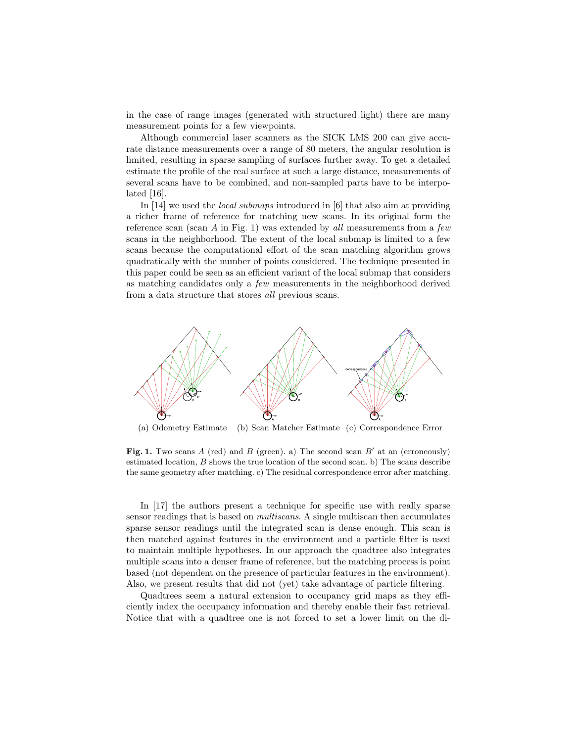in the case of range images (generated with structured light) there are many measurement points for a few viewpoints.

Although commercial laser scanners as the SICK LMS 200 can give accurate distance measurements over a range of 80 meters, the angular resolution is limited, resulting in sparse sampling of surfaces further away. To get a detailed estimate the profile of the real surface at such a large distance, measurements of several scans have to be combined, and non-sampled parts have to be interpolated [16].

In [14] we used the local submaps introduced in [6] that also aim at providing a richer frame of reference for matching new scans. In its original form the reference scan (scan  $A$  in Fig. 1) was extended by all measurements from a few scans in the neighborhood. The extent of the local submap is limited to a few scans because the computational effort of the scan matching algorithm grows quadratically with the number of points considered. The technique presented in this paper could be seen as an efficient variant of the local submap that considers as matching candidates only a few measurements in the neighborhood derived from a data structure that stores all previous scans.



(a) Odometry Estimate (b) Scan Matcher Estimate (c) Correspondence Error

Fig. 1. Two scans A (red) and B (green). a) The second scan  $B'$  at an (erroneously) estimated location,  $B$  shows the true location of the second scan. b) The scans describe the same geometry after matching. c) The residual correspondence error after matching.

In [17] the authors present a technique for specific use with really sparse sensor readings that is based on multiscans. A single multiscan then accumulates sparse sensor readings until the integrated scan is dense enough. This scan is then matched against features in the environment and a particle filter is used to maintain multiple hypotheses. In our approach the quadtree also integrates multiple scans into a denser frame of reference, but the matching process is point based (not dependent on the presence of particular features in the environment). Also, we present results that did not (yet) take advantage of particle filtering.

Quadtrees seem a natural extension to occupancy grid maps as they efficiently index the occupancy information and thereby enable their fast retrieval. Notice that with a quadtree one is not forced to set a lower limit on the di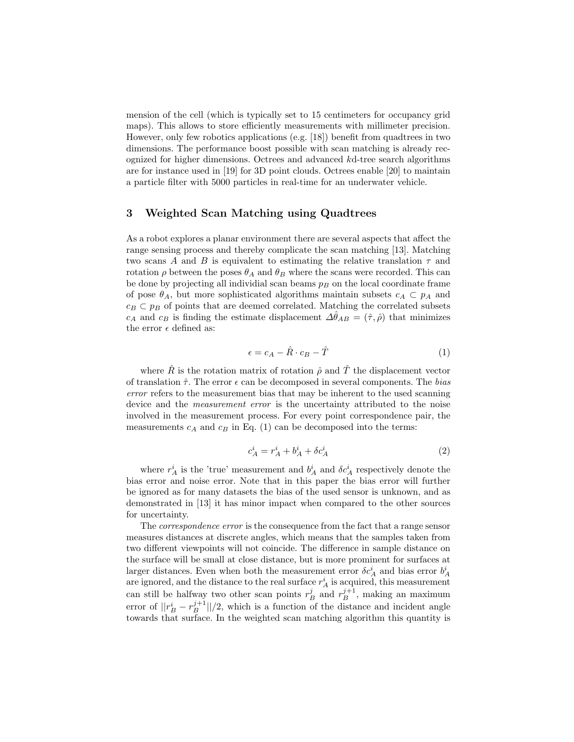mension of the cell (which is typically set to 15 centimeters for occupancy grid maps). This allows to store efficiently measurements with millimeter precision. However, only few robotics applications (e.g. [18]) benefit from quadtrees in two dimensions. The performance boost possible with scan matching is already recognized for higher dimensions. Octrees and advanced kd-tree search algorithms are for instance used in [19] for 3D point clouds. Octrees enable [20] to maintain a particle filter with 5000 particles in real-time for an underwater vehicle.

#### 3 Weighted Scan Matching using Quadtrees

As a robot explores a planar environment there are several aspects that affect the range sensing process and thereby complicate the scan matching [13]. Matching two scans A and B is equivalent to estimating the relative translation  $\tau$  and rotation  $\rho$  between the poses  $\theta_A$  and  $\theta_B$  where the scans were recorded. This can be done by projecting all individial scan beams  $p_B$  on the local coordinate frame of pose  $\theta_A$ , but more sophisticated algorithms maintain subsets  $c_A \subset p_A$  and  $c_B \,\subset p_B$  of points that are deemed correlated. Matching the correlated subsets  $c_A$  and  $c_B$  is finding the estimate displacement  $\Delta\theta_{AB} = (\hat{\tau}, \hat{\rho})$  that minimizes the error  $\epsilon$  defined as:

$$
\epsilon = c_A - \hat{R} \cdot c_B - \hat{T} \tag{1}
$$

where  $\hat{R}$  is the rotation matrix of rotation  $\hat{\rho}$  and  $\hat{T}$  the displacement vector of translation  $\hat{\tau}$ . The error  $\epsilon$  can be decomposed in several components. The bias error refers to the measurement bias that may be inherent to the used scanning device and the *measurement error* is the uncertainty attributed to the noise involved in the measurement process. For every point correspondence pair, the measurements  $c_A$  and  $c_B$  in Eq. (1) can be decomposed into the terms:

$$
c_A^i = r_A^i + b_A^i + \delta c_A^i \tag{2}
$$

where  $r_A^i$  is the 'true' measurement and  $b_A^i$  and  $\delta c_A^i$  respectively denote the bias error and noise error. Note that in this paper the bias error will further be ignored as for many datasets the bias of the used sensor is unknown, and as demonstrated in [13] it has minor impact when compared to the other sources for uncertainty.

The correspondence error is the consequence from the fact that a range sensor measures distances at discrete angles, which means that the samples taken from two different viewpoints will not coincide. The difference in sample distance on the surface will be small at close distance, but is more prominent for surfaces at larger distances. Even when both the measurement error  $\delta c_A^i$  and bias error  $b_A^i$ are ignored, and the distance to the real surface  $r_A^i$  is acquired, this measurement can still be halfway two other scan points  $r_B^j$  and  $r_B^{j+1}$ , making an maximum error of  $||r_B^i - r_B^{j+1}||/2$ , which is a function of the distance and incident angle towards that surface. In the weighted scan matching algorithm this quantity is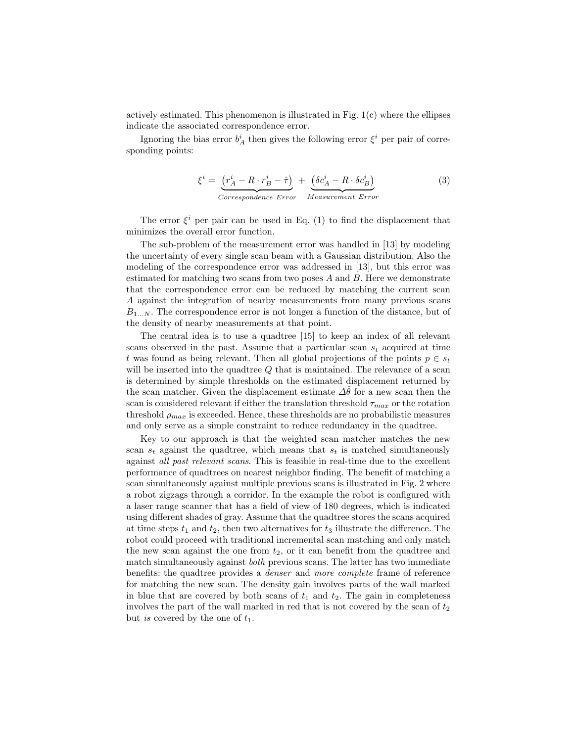actively estimated. This phenomenon is illustrated in Fig.  $1(c)$  where the ellipses indicate the associated correspondence error.

Ignoring the bias error  $b^i_A$  then gives the following error  $\xi^i$  per pair of corresponding points:

$$
\xi^{i} = \underbrace{(r_A^i - R \cdot r_B^i - \hat{\tau})}_{Correspondence Error} + \underbrace{(\delta c_A^i - R \cdot \delta c_B^i)}_{Measurement Error}
$$
\n(3)

The error  $\xi^i$  per pair can be used in Eq. (1) to find the displacement that minimizes the overall error function.

The sub-problem of the measurement error was handled in [13] by modeling the uncertainty of every single scan beam with a Gaussian distribution. Also the modeling of the correspondence error was addressed in [13], but this error was estimated for matching two scans from two poses  $A$  and  $B$ . Here we demonstrate that the correspondence error can be reduced by matching the current scan A against the integration of nearby measurements from many previous scans  $B_{1...N}$ . The correspondence error is not longer a function of the distance, but of the density of nearby measurements at that point.

The central idea is to use a quadtree [15] to keep an index of all relevant scans observed in the past. Assume that a particular scan  $s_t$  acquired at time t was found as being relevant. Then all global projections of the points  $p \in s_t$ will be inserted into the quadtree  $Q$  that is maintained. The relevance of a scan is determined by simple thresholds on the estimated displacement returned by the scan matcher. Given the displacement estimate  $\Delta\hat{\theta}$  for a new scan then the scan is considered relevant if either the translation threshold  $\tau_{max}$  or the rotation threshold  $\rho_{max}$  is exceeded. Hence, these thresholds are no probabilistic measures and only serve as a simple constraint to reduce redundancy in the quadtree.

Key to our approach is that the weighted scan matcher matches the new scan  $s_t$  against the quadtree, which means that  $s_t$  is matched simultaneously against all past relevant scans. This is feasible in real-time due to the excellent performance of quadtrees on nearest neighbor finding. The benefit of matching a scan simultaneously against multiple previous scans is illustrated in Fig. 2 where a robot zigzags through a corridor. In the example the robot is configured with a laser range scanner that has a field of view of 180 degrees, which is indicated using different shades of gray. Assume that the quadtree stores the scans acquired at time steps  $t_1$  and  $t_2$ , then two alternatives for  $t_3$  illustrate the difference. The robot could proceed with traditional incremental scan matching and only match the new scan against the one from  $t_2$ , or it can benefit from the quadtree and match simultaneously against both previous scans. The latter has two immediate benefits: the quadtree provides a denser and more complete frame of reference for matching the new scan. The density gain involves parts of the wall marked in blue that are covered by both scans of  $t_1$  and  $t_2$ . The gain in completeness involves the part of the wall marked in red that is not covered by the scan of  $t_2$ but is covered by the one of  $t_1$ .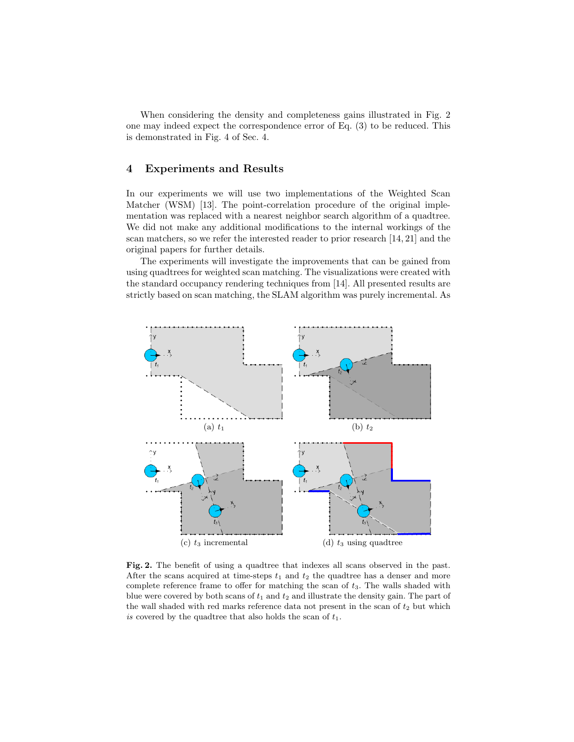When considering the density and completeness gains illustrated in Fig. 2 one may indeed expect the correspondence error of Eq. (3) to be reduced. This is demonstrated in Fig. 4 of Sec. 4.

#### 4 Experiments and Results

In our experiments we will use two implementations of the Weighted Scan Matcher (WSM) [13]. The point-correlation procedure of the original implementation was replaced with a nearest neighbor search algorithm of a quadtree. We did not make any additional modifications to the internal workings of the scan matchers, so we refer the interested reader to prior research [14, 21] and the original papers for further details.

The experiments will investigate the improvements that can be gained from using quadtrees for weighted scan matching. The visualizations were created with the standard occupancy rendering techniques from [14]. All presented results are strictly based on scan matching, the SLAM algorithm was purely incremental. As



Fig. 2. The benefit of using a quadtree that indexes all scans observed in the past. After the scans acquired at time-steps  $t_1$  and  $t_2$  the quadtree has a denser and more complete reference frame to offer for matching the scan of  $t_3$ . The walls shaded with blue were covered by both scans of  $t_1$  and  $t_2$  and illustrate the density gain. The part of the wall shaded with red marks reference data not present in the scan of  $t_2$  but which is covered by the quadtree that also holds the scan of  $t_1$ .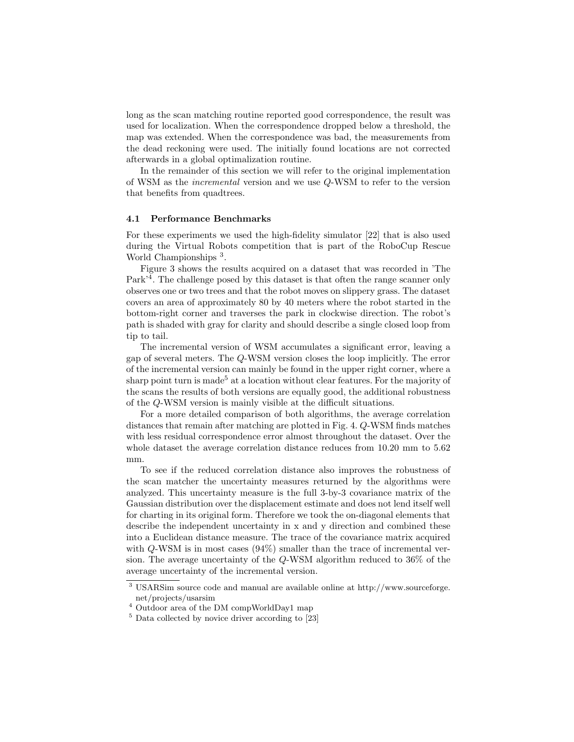long as the scan matching routine reported good correspondence, the result was used for localization. When the correspondence dropped below a threshold, the map was extended. When the correspondence was bad, the measurements from the dead reckoning were used. The initially found locations are not corrected afterwards in a global optimalization routine.

In the remainder of this section we will refer to the original implementation of WSM as the incremental version and we use Q-WSM to refer to the version that benefits from quadtrees.

#### 4.1 Performance Benchmarks

For these experiments we used the high-fidelity simulator [22] that is also used during the Virtual Robots competition that is part of the RoboCup Rescue World Championships<sup>3</sup>.

Figure 3 shows the results acquired on a dataset that was recorded in 'The Park<sup>'4</sup>. The challenge posed by this dataset is that often the range scanner only observes one or two trees and that the robot moves on slippery grass. The dataset covers an area of approximately 80 by 40 meters where the robot started in the bottom-right corner and traverses the park in clockwise direction. The robot's path is shaded with gray for clarity and should describe a single closed loop from tip to tail.

The incremental version of WSM accumulates a significant error, leaving a gap of several meters. The Q-WSM version closes the loop implicitly. The error of the incremental version can mainly be found in the upper right corner, where a sharp point turn is made<sup>5</sup> at a location without clear features. For the majority of the scans the results of both versions are equally good, the additional robustness of the Q-WSM version is mainly visible at the difficult situations.

For a more detailed comparison of both algorithms, the average correlation distances that remain after matching are plotted in Fig. 4. Q-WSM finds matches with less residual correspondence error almost throughout the dataset. Over the whole dataset the average correlation distance reduces from 10.20 mm to 5.62 mm.

To see if the reduced correlation distance also improves the robustness of the scan matcher the uncertainty measures returned by the algorithms were analyzed. This uncertainty measure is the full 3-by-3 covariance matrix of the Gaussian distribution over the displacement estimate and does not lend itself well for charting in its original form. Therefore we took the on-diagonal elements that describe the independent uncertainty in x and y direction and combined these into a Euclidean distance measure. The trace of the covariance matrix acquired with  $Q$ -WSM is in most cases (94%) smaller than the trace of incremental version. The average uncertainty of the Q-WSM algorithm reduced to 36% of the average uncertainty of the incremental version.

<sup>3</sup> USARSim source code and manual are available online at http://www.sourceforge. net/projects/usarsim

<sup>4</sup> Outdoor area of the DM compWorldDay1 map

 $5$  Data collected by novice driver according to [23]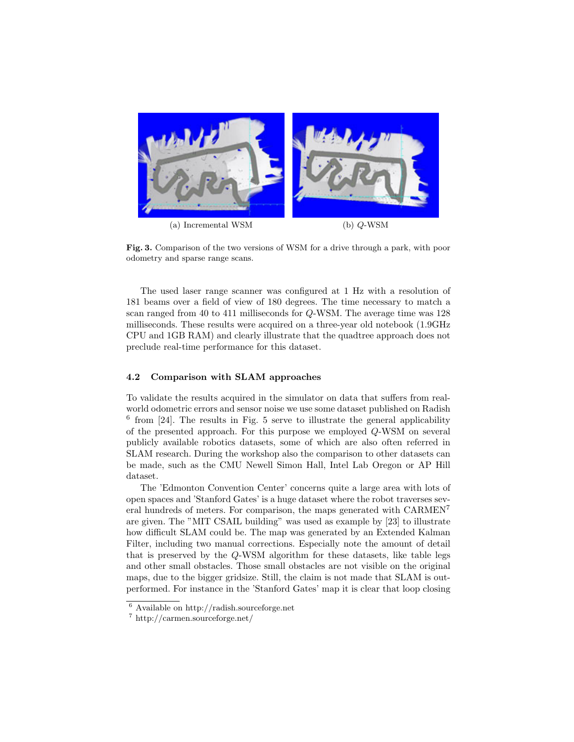

Fig. 3. Comparison of the two versions of WSM for a drive through a park, with poor odometry and sparse range scans.

The used laser range scanner was configured at 1 Hz with a resolution of 181 beams over a field of view of 180 degrees. The time necessary to match a scan ranged from 40 to 411 milliseconds for Q-WSM. The average time was 128 milliseconds. These results were acquired on a three-year old notebook (1.9GHz CPU and 1GB RAM) and clearly illustrate that the quadtree approach does not preclude real-time performance for this dataset.

#### 4.2 Comparison with SLAM approaches

To validate the results acquired in the simulator on data that suffers from realworld odometric errors and sensor noise we use some dataset published on Radish 6 from [24]. The results in Fig. 5 serve to illustrate the general applicability of the presented approach. For this purpose we employed Q-WSM on several publicly available robotics datasets, some of which are also often referred in SLAM research. During the workshop also the comparison to other datasets can be made, such as the CMU Newell Simon Hall, Intel Lab Oregon or AP Hill dataset.

The 'Edmonton Convention Center' concerns quite a large area with lots of open spaces and 'Stanford Gates' is a huge dataset where the robot traverses several hundreds of meters. For comparison, the maps generated with CARMEN<sup>7</sup> are given. The "MIT CSAIL building" was used as example by [23] to illustrate how difficult SLAM could be. The map was generated by an Extended Kalman Filter, including two manual corrections. Especially note the amount of detail that is preserved by the Q-WSM algorithm for these datasets, like table legs and other small obstacles. Those small obstacles are not visible on the original maps, due to the bigger gridsize. Still, the claim is not made that SLAM is outperformed. For instance in the 'Stanford Gates' map it is clear that loop closing

<sup>6</sup> Available on http://radish.sourceforge.net

<sup>7</sup> http://carmen.sourceforge.net/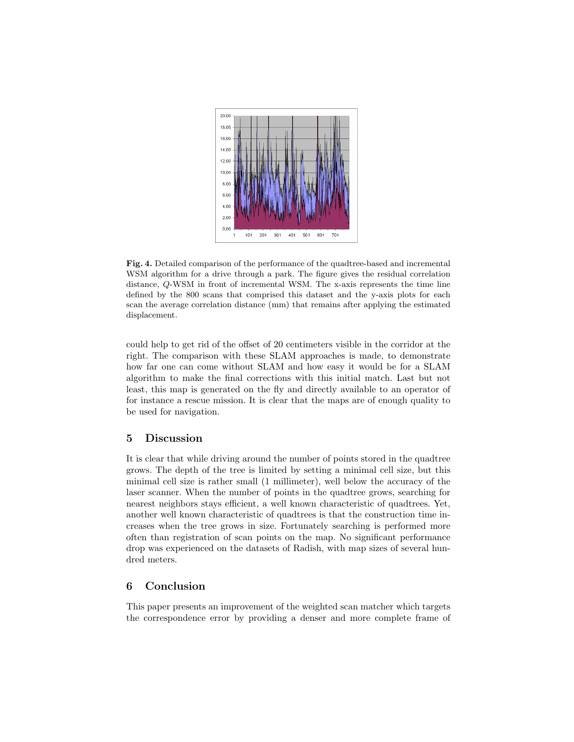

Fig. 4. Detailed comparison of the performance of the quadtree-based and incremental WSM algorithm for a drive through a park. The figure gives the residual correlation distance, Q-WSM in front of incremental WSM. The x-axis represents the time line defined by the 800 scans that comprised this dataset and the y-axis plots for each scan the average correlation distance (mm) that remains after applying the estimated displacement.

could help to get rid of the offset of 20 centimeters visible in the corridor at the right. The comparison with these SLAM approaches is made, to demonstrate how far one can come without SLAM and how easy it would be for a SLAM algorithm to make the final corrections with this initial match. Last but not least, this map is generated on the fly and directly available to an operator of for instance a rescue mission. It is clear that the maps are of enough quality to be used for navigation.

#### 5 Discussion

It is clear that while driving around the number of points stored in the quadtree grows. The depth of the tree is limited by setting a minimal cell size, but this minimal cell size is rather small (1 millimeter), well below the accuracy of the laser scanner. When the number of points in the quadtree grows, searching for nearest neighbors stays efficient, a well known characteristic of quadtrees. Yet, another well known characteristic of quadtrees is that the construction time increases when the tree grows in size. Fortunately searching is performed more often than registration of scan points on the map. No significant performance drop was experienced on the datasets of Radish, with map sizes of several hundred meters.

### 6 Conclusion

This paper presents an improvement of the weighted scan matcher which targets the correspondence error by providing a denser and more complete frame of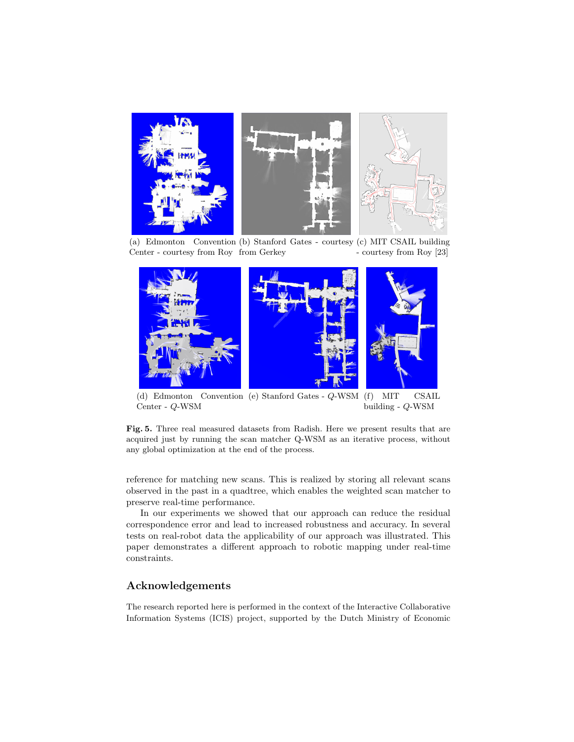

(a) Edmonton Convention (b) Stanford Gates - courtesy (c) MIT CSAIL building Center - courtesy from Roy from Gerkey - courtesy from Roy [23]



(d) Edmonton Center - Q-WSM Convention (e) Stanford Gates - Q-WSM (f) MIT CSAIL building - Q-WSM

Fig. 5. Three real measured datasets from Radish. Here we present results that are acquired just by running the scan matcher Q-WSM as an iterative process, without any global optimization at the end of the process.

reference for matching new scans. This is realized by storing all relevant scans observed in the past in a quadtree, which enables the weighted scan matcher to preserve real-time performance.

In our experiments we showed that our approach can reduce the residual correspondence error and lead to increased robustness and accuracy. In several tests on real-robot data the applicability of our approach was illustrated. This paper demonstrates a different approach to robotic mapping under real-time constraints.

#### Acknowledgements

The research reported here is performed in the context of the Interactive Collaborative Information Systems (ICIS) project, supported by the Dutch Ministry of Economic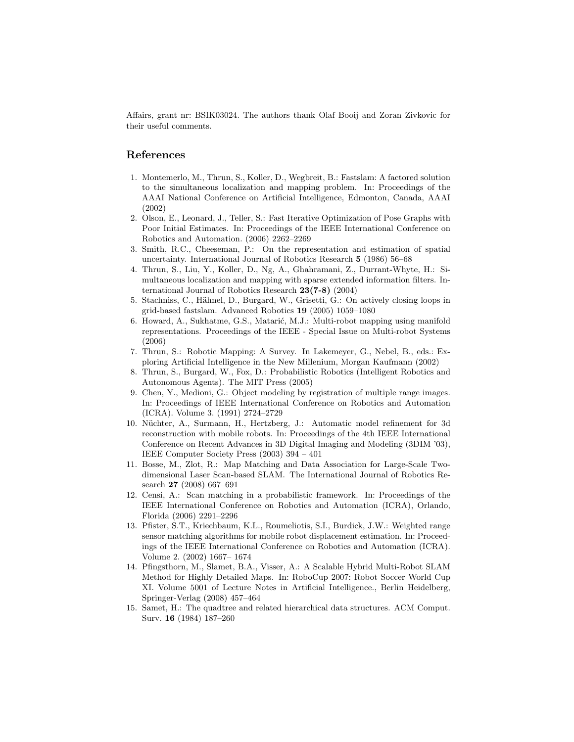Affairs, grant nr: BSIK03024. The authors thank Olaf Booij and Zoran Zivkovic for their useful comments.

#### References

- 1. Montemerlo, M., Thrun, S., Koller, D., Wegbreit, B.: Fastslam: A factored solution to the simultaneous localization and mapping problem. In: Proceedings of the AAAI National Conference on Artificial Intelligence, Edmonton, Canada, AAAI (2002)
- 2. Olson, E., Leonard, J., Teller, S.: Fast Iterative Optimization of Pose Graphs with Poor Initial Estimates. In: Proceedings of the IEEE International Conference on Robotics and Automation. (2006) 2262–2269
- 3. Smith, R.C., Cheeseman, P.: On the representation and estimation of spatial uncertainty. International Journal of Robotics Research 5 (1986) 56–68
- 4. Thrun, S., Liu, Y., Koller, D., Ng, A., Ghahramani, Z., Durrant-Whyte, H.: Simultaneous localization and mapping with sparse extended information filters. International Journal of Robotics Research 23(7-8) (2004)
- 5. Stachniss, C., Hähnel, D., Burgard, W., Grisetti, G.: On actively closing loops in grid-based fastslam. Advanced Robotics 19 (2005) 1059–1080
- 6. Howard, A., Sukhatme, G.S., Matarić, M.J.: Multi-robot mapping using manifold representations. Proceedings of the IEEE - Special Issue on Multi-robot Systems (2006)
- 7. Thrun, S.: Robotic Mapping: A Survey. In Lakemeyer, G., Nebel, B., eds.: Exploring Artificial Intelligence in the New Millenium, Morgan Kaufmann (2002)
- 8. Thrun, S., Burgard, W., Fox, D.: Probabilistic Robotics (Intelligent Robotics and Autonomous Agents). The MIT Press (2005)
- 9. Chen, Y., Medioni, G.: Object modeling by registration of multiple range images. In: Proceedings of IEEE International Conference on Robotics and Automation (ICRA). Volume 3. (1991) 2724–2729
- 10. Nüchter, A., Surmann, H., Hertzberg, J.: Automatic model refinement for 3d reconstruction with mobile robots. In: Proceedings of the 4th IEEE International Conference on Recent Advances in 3D Digital Imaging and Modeling (3DIM '03), IEEE Computer Society Press (2003) 394 – 401
- 11. Bosse, M., Zlot, R.: Map Matching and Data Association for Large-Scale Twodimensional Laser Scan-based SLAM. The International Journal of Robotics Research 27 (2008) 667–691
- 12. Censi, A.: Scan matching in a probabilistic framework. In: Proceedings of the IEEE International Conference on Robotics and Automation (ICRA), Orlando, Florida (2006) 2291–2296
- 13. Pfister, S.T., Kriechbaum, K.L., Roumeliotis, S.I., Burdick, J.W.: Weighted range sensor matching algorithms for mobile robot displacement estimation. In: Proceedings of the IEEE International Conference on Robotics and Automation (ICRA). Volume 2. (2002) 1667– 1674
- 14. Pfingsthorn, M., Slamet, B.A., Visser, A.: A Scalable Hybrid Multi-Robot SLAM Method for Highly Detailed Maps. In: RoboCup 2007: Robot Soccer World Cup XI. Volume 5001 of Lecture Notes in Artificial Intelligence., Berlin Heidelberg, Springer-Verlag (2008) 457–464
- 15. Samet, H.: The quadtree and related hierarchical data structures. ACM Comput. Surv. 16 (1984) 187–260